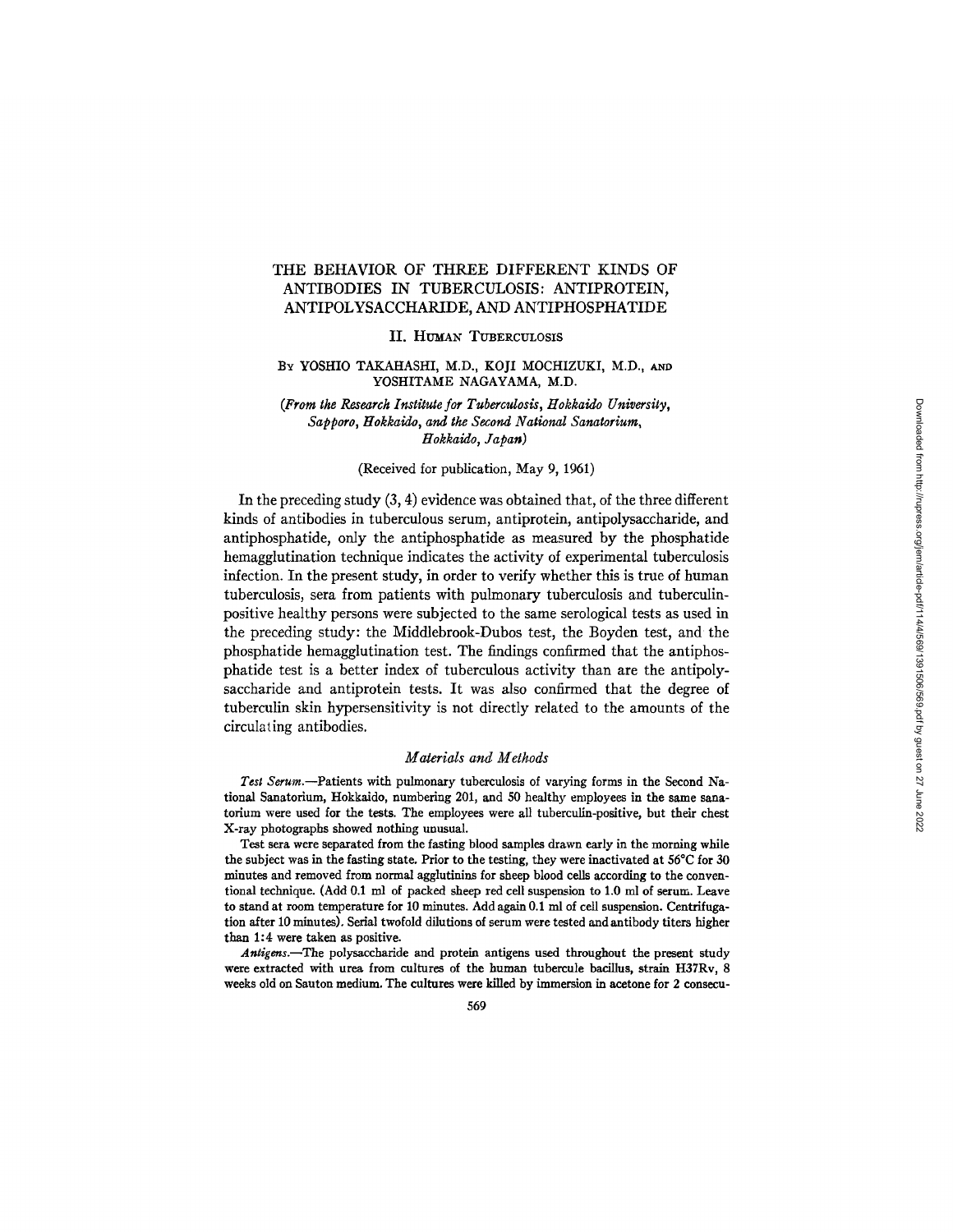# THE BEHAVIOR OF THREE DIFFERENT KINDS OF ANTIBODIES IN TUBERCULOSIS: ANTIPROTEIN, ANTIPOLYSACCHARIDE, AND ANTIPHOSPHATIDE

II. HUMAN TUBERCULOSIS

#### BY YOSHIO TAKAHASHI, M.D., KOJI MOCHIZUKI, M.D., AND YOSHITAME NAGAYAMA, M.D.

*(From the Research Institute for Tuberculosis, Hokkaido University, Sapporo, ttokkaido, and the Second National Sanatorium, ttokkaldo, Japan)* 

### (Received for publication, May 9, 1961)

In the preceding study (3, 4) evidence was obtained that, of the three different kinds of antibodies in tuberculous serum, antiprotein, antipolysaccharide, and antiphosphatide, only the antiphosphatide as measured by the phosphatide hemagglufination technique indicates the activity of experimental tuberculosis infection. In the present study, in order to verify whether this is true of human tuberculosis, sera from patients with pulmonary tuberculosis and tuberculinpositive healthy persons were subjected to the same serological tests as used in the preceding study: the Middlebrook-Dubos test, the Boyden test, and the phosphatide hemagglutination test. The findings confirmed that the antiphosphatide test is a better index of tuberculous activity than are the antipolysaccharide and antiprotein tests. It was also confirmed that the degree of tuberculin skin hypersensitivity is not directly related to the amounts of the circulating antibodies.

#### *Materials and Methods*

*Test Serum.--Patients* with pulmonary tuberculosis of varying forms in the Second National Sanatorium, Hokkaldo, numbering 201, and 50 healthy employees in the same sanatorinm were used for the tests. The employees were all tuberculin-positive, but their chest X-ray photographs showed nothing unusual.

Test sera were separated from the fasting blood samples drawn early in the morning while the subject was in the fasting state. Prior to the testing, they were inactivated at 56°C for 30 minutes and removed from normal agglutinins for sheep blood cells according to the conventional technique. (Add 0.1 ml of packed sheep red call suspension to 1.0 ml of serum. Leave to stand at room temperature for 10 minutes. Add again 0.1 ml of cell suspension. Centrifugation after 10 minutes). Serial twofold dilutions of serum were tested and antibody titers higher than 1:4 were taken as positive.

*Antigens.--The* polysaccharide and protein antigens used throughout the present study were extracted with urea from cultures of the human tubercule bacillus, strain H37Rv, 8 weeks old on Santon medium. The cultures were killed by immersion in acetone for 2 consecu-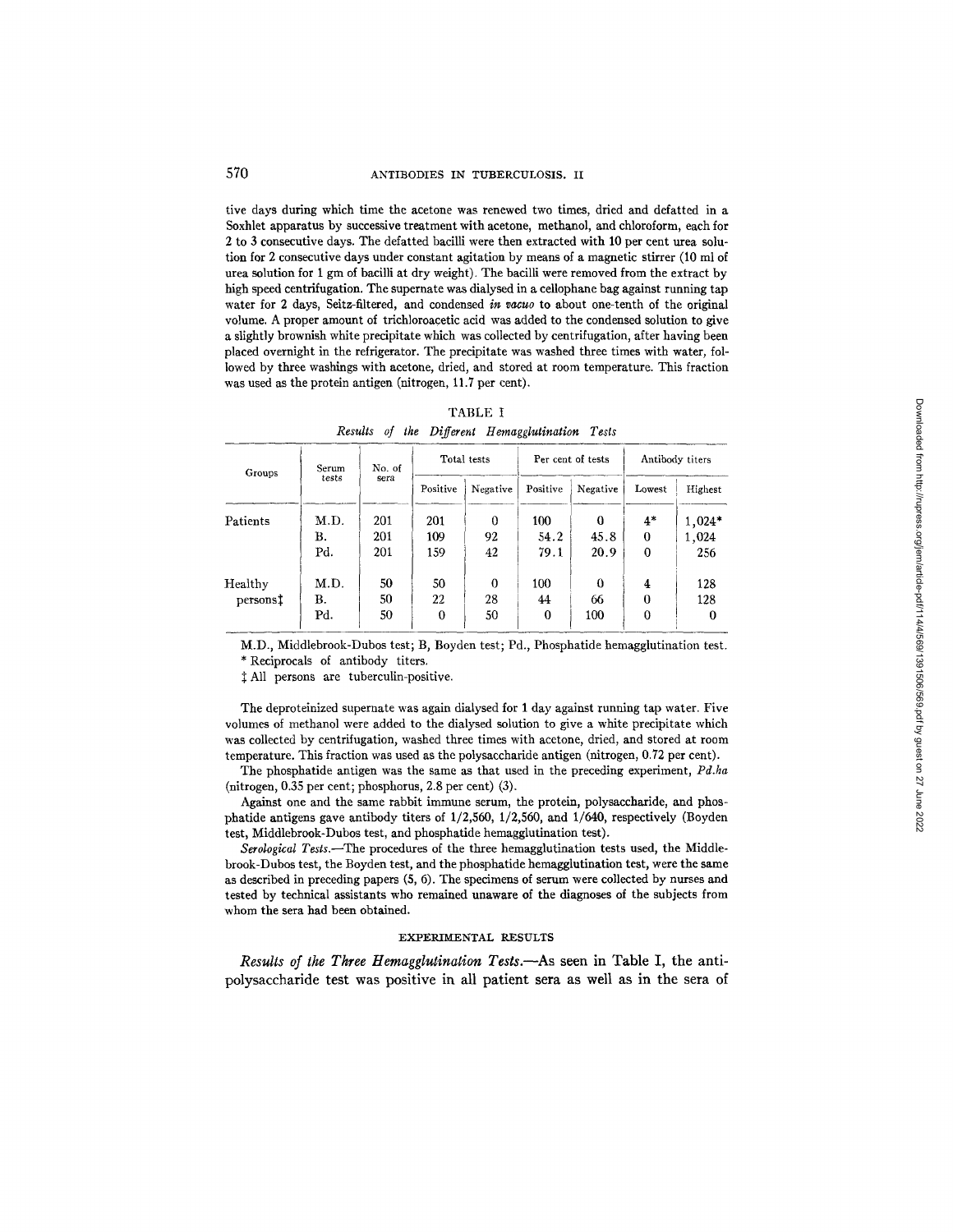tive days during which time the acetone was renewed two times, dried and defatted in a Soxhlet apparatus by successive treatment with acetone, methanol, and chloroform, each for 2 to 3 consecutive days. The defatted bacilli were then extracted with 10 per cent urea solution for 2 consecutive days under constant agitation by means of a magnetic stirrer (10 ml of urea solution for 1 gm of bacilli at dry weight). The bacilli were removed from the extract by high speed centrifugation. The supernate was dialysed in a cellophane bag against running tap water for 2 days, Seitz-filtered, and condensed *in vacuo* to about one-tenth of the original volume. A proper amount of trichloroacetic acid was added to the condensed solution to give a slightly brownish white precipitate which was collected by centrifugation, after having been placed overnight in the refrigerator. The precipitate was washed three times with water, followed by three washings with acetone, dried, and stored at room temperature. This fraction was used as the protein antigen (nitrogen, 11.7 per cent).

| Groups               | Serum | No. of |          | Total tests |          | Per cent of tests | Antibody titers |         |  |
|----------------------|-------|--------|----------|-------------|----------|-------------------|-----------------|---------|--|
|                      | tests | sera   | Positive | Negative    | Positive | Negative          | Lowest          | Highest |  |
| Patients             | M.D.  | 201    | 201      | 0           | 100      | $\Omega$          | $4*$            | 1,024*  |  |
|                      | В.    | 201    | 109      | 92          | 54.2     | 45.8              | $\overline{0}$  | 1,024   |  |
|                      | Pd.   | 201    | 159      | 42          | 79.1     | 20.9              | 0               | 256     |  |
| Healthy              | M.D.  | 50     | 50       | $\Omega$    | 100      | ∩                 | 4               | 128     |  |
| persons <sup>†</sup> | В.    | 50     | 22       | 28          | 44       | 66                | $\bf{0}$        | 128     |  |
|                      | Pd.   | 50     | 0        | 50          | 0        | 100               | 0               | 0       |  |

|  | TABLE I |                                                 |  |
|--|---------|-------------------------------------------------|--|
|  |         | Results of the Different Hemagglutination Tests |  |

M.D., Middlebrook-Dubos test; B, Boyden test; Pd., Phosphatide hemagglutination test. \* Reciprocals of antibody titers.

 $\ddagger$  All persons are tuberculin-positive.

The deproteinized supernate was again dialysed for 1 day against running tap water. Five volumes of methanol were added to the dialysed solution to give a white precipitate which was collected by centrifugation, washed three times with acetone, dried, and stored at room temperature. This fraction was used as the polysaccharide antigen (nitrogen, 0.72 per cent).

The phosphatide antigen was the same as that used in the preceding experiment, *Pd.ha*  (nitrogen, 0.35 per cent; phosphorus, 2.8 per cent) (3).

Against one and the same rabbit immune serum, the protein, polysaecharide, and phosphafide antigens gave antibody titers of 1/2,560, 1/2,560, and *1/640,* respectively (Boyden test, Middlebrook-Dubos test, and phosphatide hemagglutination test).

Serological Tests.--The procedures of the three hemagglutination tests used, the Middlebrook-Dubos test, the Boyden test, and the phosphatide hemaggintination test, were the same as described in preceding papers (5, 6). The specimens of serum were collected by nurses and tested by technical assistants who remained unaware of the diagnoses of the subjects from whom the sera had been obtained.

#### EXPERIMENTAL RESULTS

*Results of the Three Hemagglutination Tests.--As* seen in Table I, the antipolysaccharide **test was positive in all patient sera as well as in the sera of**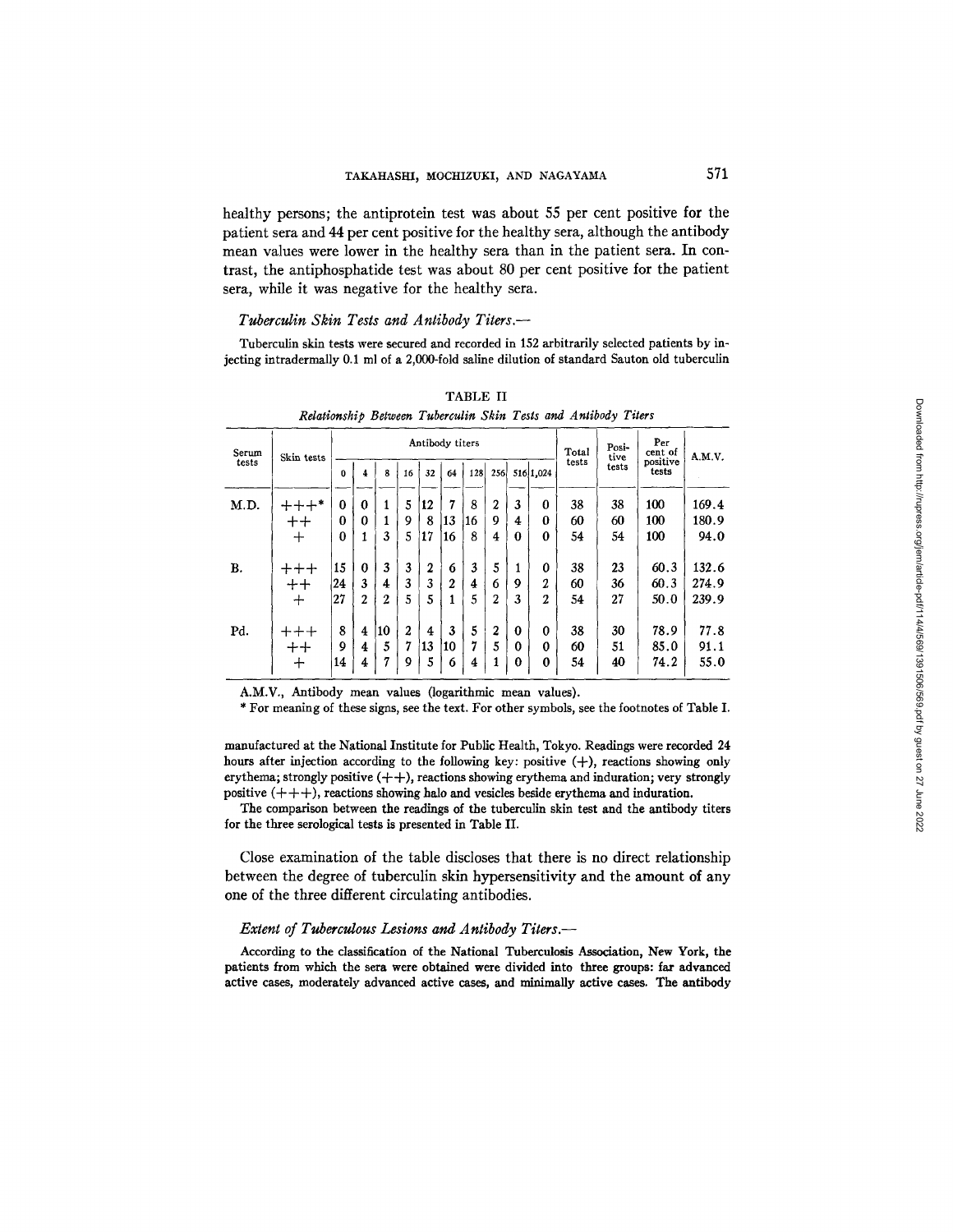healthy persons; the antiprotein test was about 55 per cent positive for the patient sera and 44 per cent positive for the healthy sera, although the antibody mean values were lower in the healthy sera than in the patient sera. In contrast, the antiphosphatide test was about 80 per cent positive for the patient sera, while it was negative for the healthy sera.

### *Tuberculin Skin Tests and Antibody Titers.--*

Tuberculin skin tests were secured and recorded in 152 arbitrarily selected patients by injecting intradermally 0.1 ml of a 2,000-fold saline dilution of standard Sauton old tuberculin

| Serum | Skin tests      |          |                  |                  |              | Antibody titers |    |                | Total            | Posi-<br>tive | Per<br>cent of | A.M.V. |       |                   |       |
|-------|-----------------|----------|------------------|------------------|--------------|-----------------|----|----------------|------------------|---------------|----------------|--------|-------|-------------------|-------|
| tests |                 | $\bf{0}$ | 4                | 8                | 16           | 32              | 64 | 128            | 256              |               | 516 1,024      | tests  | tests | positive<br>tests |       |
| M.D.  | $+++*$          | $\bf{0}$ | $\bf{0}$         |                  | 5            | 12              | 7  | 8              | 2                | 3             | 0              | 38     | 38    | 100               | 169.4 |
|       | $++$            | $\bf{0}$ | 0                |                  | 9            | 8               | 13 | 16             | 9                | 4             | 0              | 60     | 60    | 100               | 180.9 |
|       | ┿               | $\bf{0}$ | 1                | 3                | 5            | 17              | 16 | 8              | 4                | 0             | 0              | 54     | 54    | 100               | 94.0  |
| В.    | $+++$           | 15       | $\boldsymbol{0}$ | 3                | 3            | 2               | 6  | 3              | 5                | 1             | 0              | 38     | 23    | 60.3              | 132.6 |
|       | $+ +$           | 24       | 3                | 4                | 3            | 3               | 2  | 4              | 6                | 9             | 2              | 60     | 36    | 60.3              | 274.9 |
|       | $\div$          | 27       | $\overline{2}$   | $\boldsymbol{2}$ | 5            | 5               | 1  | 5              | 2                | 3             | $\overline{2}$ | 54     | 27    | 50.0              | 239.9 |
| Pd.   | $++++$          | 8        | $\overline{4}$   | 10               | $\mathbf{2}$ | 4               | 3  | 5              | $\boldsymbol{2}$ | 0             | 0              | 38     | 30    | 78.9              | 77.8  |
|       | $^{\mathrm ++}$ | 9        | 4                | 5                | 7            | 13              | 10 | 7              | 5                | 0             | 0              | 60     | 51    | 85.0              | 91.1  |
|       | 十               | 14       | 4                | 7                | 9            | 5               | 6  | $\overline{4}$ |                  | 0             | 0              | 54     | 40    | 74.2              | 55.0  |

TABLE II *Relationship Between Tuberculin Skin Tests and Antibody Titers* 

A.M.V,, Antibody mean values (logarithmic mean values).

\* For meaning of these signs, see the text. For other symbols, see the footnotes of Table I.

manufactured at the National Institute for Public Health, Tokyo. Readings were recorded 24 hours after injection according to the following key: positive  $(+)$ , reactions showing only erythema; strongly positive  $(++)$ , reactions showing erythema and induration; very strongly positive  $(++)$ , reactions showing halo and vesicles beside erythema and induration.

The comparison between the readings of the tuberculin skin test and the antibody titers for the three serological tests is presented in Table II.

Close examination of the table discloses that there is no direct relationship between the degree of tuberculin skin hypersensitivity and the amount of any one of the three different circulating antibodies.

### *Extent of Tuberculous Lesions and Antibody Titers.--*

According to the classification of the National Tuberculosis Association, New York, the patients from which the sera were obtained were divided into three groups: far advanced active cases, moderately advanced active eases, and minimally active cases. The antibody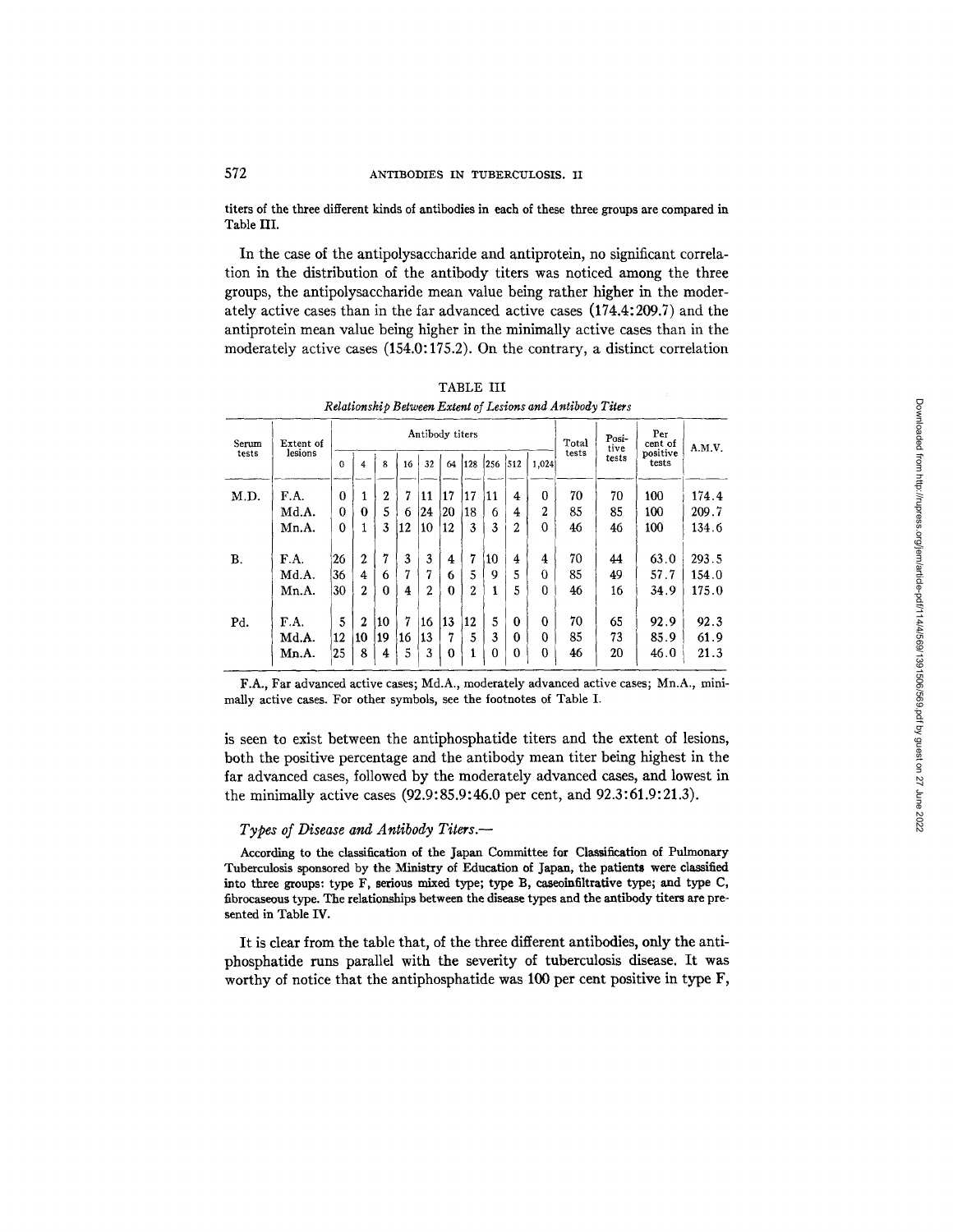titers of the three different kinds of antibodies in each of these three groups are compared in Table III.

In the case of the antipolysaccharide and antiprotein, no significant correlation in the distribution of the antibody titers was noticed among the three groups, the antipolysaccharide mean value being rather higher in the moderately active cases than in the far advanced active cases (174.4:209.7) and the antiprotein mean value being higher in the minimally active cases than in the moderately active cases (154.0:175.2). On the contrary, a distinct correlation

| Serum | Extent of |          |                  |                  |    |     | Antibody titers |                  | Total | Posi-<br>tive | Per<br>cent of | A.M.V. |       |                   |       |
|-------|-----------|----------|------------------|------------------|----|-----|-----------------|------------------|-------|---------------|----------------|--------|-------|-------------------|-------|
| tests | lesions   | $\Omega$ | 4                | 8                | 16 | 32  | 64              | 128              | 256   | 1512          | 1,024          | tests  | tests | positive<br>tests |       |
| M.D.  | F.A.      | $\Omega$ | 1                | $\boldsymbol{2}$ | 7  | 11  | 17              | 17               | 11    | 4             | 0              | 70     | 70    | 100               | 174.4 |
|       | Md.A.     | 0        | 0                | 5                | 6  | 124 | 20              | 18               | 6     | 4             | $\overline{2}$ | 85     | 85    | 100               | 209.7 |
|       | Mn.A.     | 0        | 1                | 3                | 12 | 10  | 12              | 3                | 3     | 2             | $\Omega$       | 46     | 46    | 100               | 134.6 |
| В.    | F.A.      | 26       | $\boldsymbol{2}$ | 7                | 3  | 3   | 4               | 7                | 10    | 4             | 4              | 70     | 44    | 63.0              | 293.5 |
|       | Md.A.     | 36       | 4                | 6                | 7  | 7   | 6               | 5                | 9     | 5             | $\theta$       | 85     | 49    | 57.7              | 154.0 |
|       | Mn.A.     | 30       | $\overline{2}$   | $\theta$         | 4  | 2   | 0               | $\boldsymbol{2}$ | 1     | 5             | 0              | 46     | 16    | 34.9              | 175.0 |
| Pd.   | F.A.      | 5        | 2                | 10               | 7  | 16  | 13              | 12               | 5     | $\bf{0}$      | $\bf{0}$       | 70     | 65    | 92.9              | 92.3  |
|       | Md.A.     | 12       | 10               | 19               | 16 | 13  | 7               | 5                | 3     | 0             | $\Omega$       | 85     | 73    | 85.9              | 61.9  |
|       | Mn.A.     | 25       | 8                | 4                | 5  | 3   | 0               |                  | 0     | $\Omega$      | 0              | 46     | 20    | 46.0              | 21.3  |

**TABLE III** Relationship Between Extent of Lesions and Antibody Titers

F.A., Far advanced active cases; Md.A., moderately advanced active cases; Mn.A., minimally active cases. For other symbols, see the footnotes of Table I.

is seen to exist between the antiphosphatide titers and the extent of lesions, both the positive percentage and the antibody mean titer being highest in the far advanced cases, followed by the moderately advanced cases, and lowest in the minimally active cases (92.9:85.9:46.0 per cent, and 92.3:61.9:21.3).

# Types of Disease and Antibody Titers.-

According to the classification of the Japan Committee for Classification of Pulmonary Tuberculosis sponsored by the Ministry of Education of Japan, the patients were classified into three groups: type F, serious mixed type; type B, caseoinfiltrative type; and type C, fibrocaseous type. The relationships between the disease types and the antibody titers are presented in Table IV.

It is clear from the table that, of the three different antibodies, only the antiphosphatide runs parallel with the severity of tuberculosis disease. It was worthy of notice that the antiphosphatide was 100 per cent positive in type F,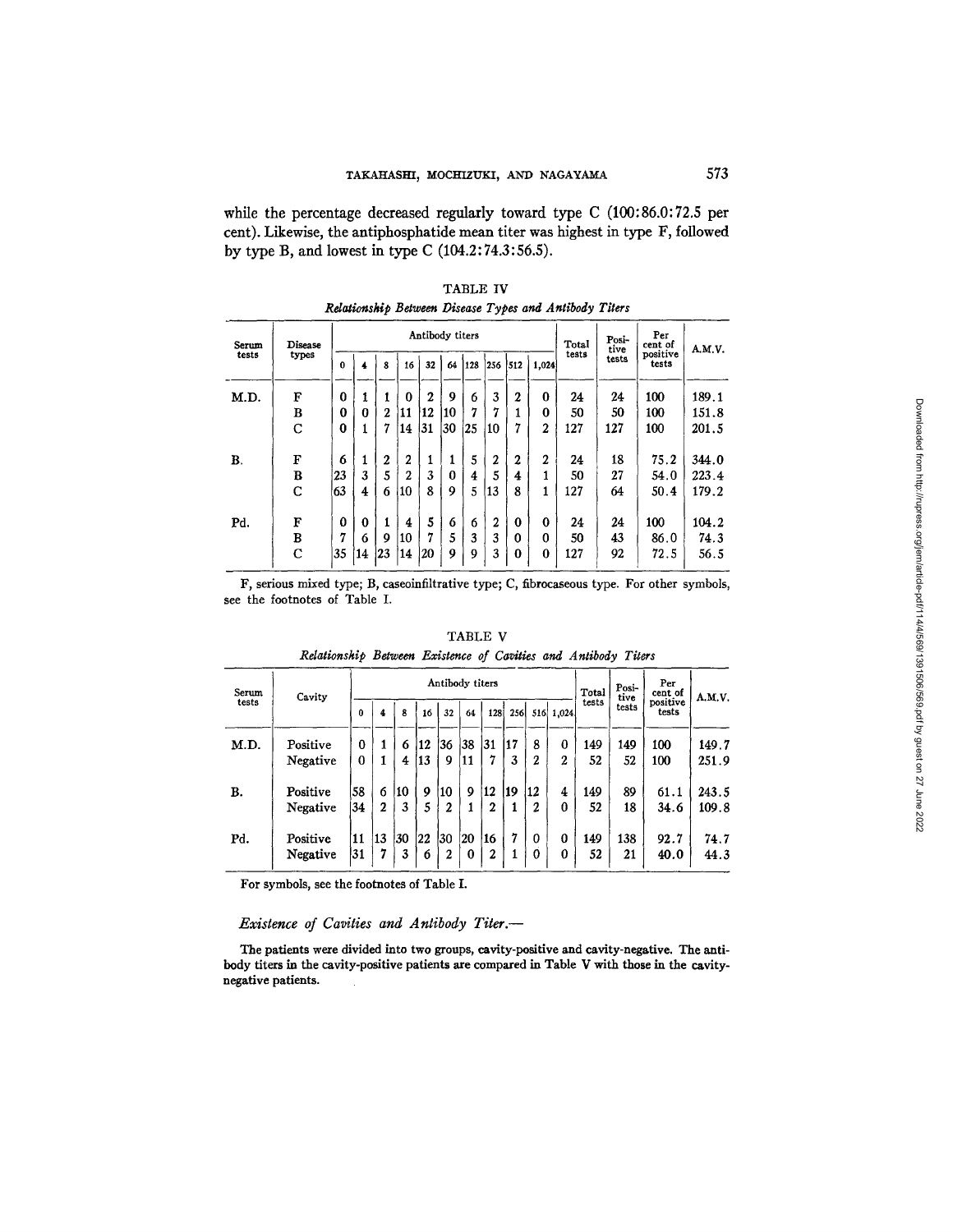while the percentage decreased regularly toward type  $C(100:86.0:72.5$  per cent). Likewise, the antiphosphatide mean titer was highest in type F, followed by type B, and lowest in type C  $(104.2:74.3:56.5)$ .

| Serum | Disease     |          |          |              |                | Antibody titers  |    |     |         |              |                | Total | Posi-<br>tive<br>tests | Per<br>cent of<br>positive<br>tests | A.M.V. |
|-------|-------------|----------|----------|--------------|----------------|------------------|----|-----|---------|--------------|----------------|-------|------------------------|-------------------------------------|--------|
| tests | types       | $\Omega$ |          | 8            | 16             | 32               | 64 | 128 | 256 512 |              | 1,024          | tests |                        |                                     |        |
| M.D.  | F           | $\bf{0}$ |          | 1            | $\mathbf{0}$   | $\boldsymbol{2}$ | 9  | 6   | 3       | $\mathbf{2}$ | $\bf{0}$       | 24    | 24                     | 100                                 | 189.1  |
|       | в           | 0        | 0        | $\mathbf{2}$ | 11             | 12               | 10 | 7   | 7       |              | 0              | 50    | 50                     | 100                                 | 151.8  |
|       | C           | 0        |          | 7            | 14             | 131              | 30 | 25  | 10      | 7            | $\overline{2}$ | 127   | 127                    | 100                                 | 201.5  |
| В.    | F           | 6        |          | 2            | $\overline{2}$ | 1                |    | 5   | 2       | 2            | $\overline{2}$ | 24    | 18                     | 75.2                                | 344.0  |
|       | B           | 23       | 3        | 5            | 2              | 3                | 0  | 4   | 5       | 4            |                | 50    | 27                     | 54.0                                | 223.4  |
|       | $\mathbf C$ | 63       | 4        | 6            | 10             | 8                | 9  | 5   | 13      | 8            | 1              | 127   | 64                     | 50.4                                | 179.2  |
| Pd.   | F           | $\Omega$ | $\bf{0}$ | 1            | 4              | 5                | 6  | 6   | 2       | $\mathbf{0}$ | $\bf{0}$       | 24    | 24                     | 100                                 | 104.2  |
|       | в           | 7        | 6        | 9            | 10             | 7                | 5  | 3   | 3       | $\Omega$     | $\Omega$       | 50    | 43                     | 86.0                                | 74.3   |
|       | C           | 35       | 14       | 23           | 14             | 20               | 9  | 9   | 3       | 0            | $\bf{0}$       | 127   | 92                     | 72.5                                | 56.5   |

TABLE IV Relationship Between Disease Types and Antibody Titers

F, serious mixed type; B, caseoinfiltrative type; C, fibrocaseous type. For other symbols, see the footnotes of Table I.

| Serum<br>tests | Cavity   |          | Antibody titers |     |    |              |          |                  |     |                  |           |       | Posi-<br>tive | Per<br>cent of    | A.M.V. |
|----------------|----------|----------|-----------------|-----|----|--------------|----------|------------------|-----|------------------|-----------|-------|---------------|-------------------|--------|
|                |          | 0        | 4               | 8   | 16 | 32           | 64       | 128              | 256 |                  | 516 1,024 | tests | tests         | positive<br>tests |        |
| M.D.           | Positive | $\bf{0}$ |                 | 6   | 12 | '36          | 38       | 31               | 17  | 8                | $\bf{0}$  | 149   | 149           | 100               | 149.7  |
|                | Negative | 0        |                 | 4   | 13 | 9            | 11       | 7                | 3   | $\boldsymbol{2}$ | 2         | 52    | 52            | 100               | 251.9  |
| В.             | Positive | 58       | 6               | 110 | 9  | 10           | 9        | 12               | 19  | 12               | 4         | 149   | 89            | 61.1              | 243.5  |
|                | Negative | 34       | $\mathbf{2}$    | 3   | 5  | 2            | 1        | $\mathbf 2$      | 1   | $\mathbf{2}$     | 0         | 52    | 18            | 34.6              | 109.8  |
| Pd.            | Positive | 11       | 13              | 130 | 22 | 130          | 20       | 16               | 7   | 0                | 0         | 149   | 138           | 92.7              | 74.7   |
|                | Negative | 31       | 7               | 3   | 6  | $\mathbf{2}$ | $\bf{0}$ | $\boldsymbol{2}$ |     | 0                | 0         | 52    | 21            | 40.0              | 44.3   |

TABLE V Relationship Between Existence of Cavities and Antibody Titers

For symbols, see the footnotes of Table I.

# Existence of Cavities and Antibody Titer.-

The patients were divided into two groups, cavity-positive and cavity-negative. The antibody titers in the cavity-positive patients are compared in Table V with those in the cavitynegative patients.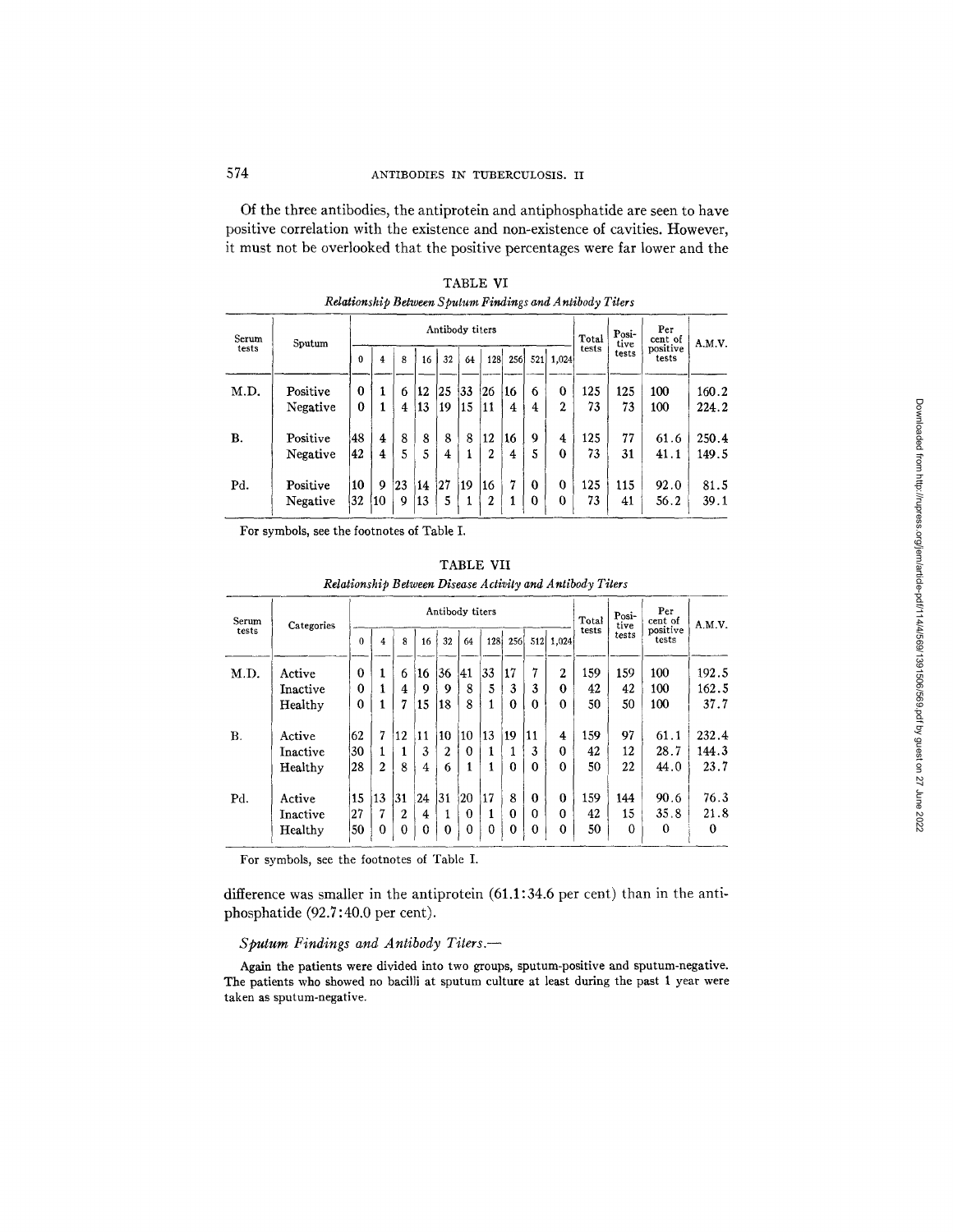Of the three antibodies, the antiprotein and antiphosphatide are seen to have positive correlation with the existence and non-existence of cavities. However, it must not be overlooked that the positive percentages were far lower and the

| Serum | Sputum               |               | Antibody titers |         |          |          |          |                      |         |               |                     |           | Posi-<br>tive | Per<br>cent of    | A.M.V.         |
|-------|----------------------|---------------|-----------------|---------|----------|----------|----------|----------------------|---------|---------------|---------------------|-----------|---------------|-------------------|----------------|
| tests |                      | 0             | 4               | 8       | 16       | 32       | 64       | 128                  | 256     |               | 521 1.024           | tests     | tests         | positive<br>tests |                |
| M.D.  | Positive<br>Negative | $\bf{0}$<br>0 |                 | 6<br>4  | 12<br>13 | 25<br>19 | 33<br>15 | 126<br> 11           | 16<br>4 | 6<br>4        | 0<br>$\mathbf{2}$   | 125<br>73 | 125<br>73     | 100<br>100        | 160.2<br>224.2 |
| B.    | Positive             | 48            | 4               | 8       | 8        | 8        | 8        | 12                   | 16      | 9             | 4                   | 125       | 77            | 61.6              | 250.4          |
| Pd.   | Negative<br>Positive | 42<br>10      | 4<br>9          | 5<br>23 | 5<br>14  | 4<br>127 | 1<br>19  | $\overline{2}$<br>16 | 4<br>7  | 5<br>$\bf{0}$ | 0<br>$\overline{0}$ | 73<br>125 | 31<br>115     | 41.1<br>92.0      | 149.5<br>81.5  |
|       | Negative             | 32            | 10              | 9       | 13       | 5        | 1        | 2                    |         | 0             | 0                   | 73        | 41            | 56.2              | 39.1           |

TABLE VI Relationship Between Sputum Findings and Antibody Titers

For symbols, see the footnotes of Table I.

| Serum | Categories |          |                |                  |          |                | Antibody titers |          |          |          |                  | <b>Total</b> | Posi-<br>tive | Per<br>cent of<br>positive<br>tests | A.M.V. |
|-------|------------|----------|----------------|------------------|----------|----------------|-----------------|----------|----------|----------|------------------|--------------|---------------|-------------------------------------|--------|
| tests |            | $\bf{0}$ | 4              | 8                | 16       | 32             | 64              | 128      | 256      | 512      | 1,024            | tests        | tests         |                                     |        |
| M.D.  | Active     | 0        | 1              | 6                | 16       | 136            | 41              | 33       | 17       | 7        | $\overline{2}$   | 159          | 159           | 100                                 | 192.5  |
|       | Inactive   | $\bf{0}$ |                | 4                | 9        | 9              | 8               | 5        | 3        | 3        | $\Omega$         | 42           | 42            | 100                                 | 162.5  |
|       | Healthy    | 0        |                | 7                | 15       | 18             | 8               |          | 0        | $\Omega$ | 0                | 50           | 50            | 100                                 | 37.7   |
| В.    | Active     | 62       | 7              | 12               | 11       | 10             | 10              | 13       | 19       | 11       | 4                | 159          | 97            | 61.1                                | 232.4  |
|       | Inactive   | 30       | 1              | 1                | 3        | $\overline{2}$ | $\mathbf{0}$    |          | 1        | 3        | $\boldsymbol{0}$ | 42           | 12            | 28.7                                | 144.3  |
|       | Healthy    | 28       | $\overline{2}$ | 8                | 4        | 6              | 1               | 1        | $\Omega$ | $\Omega$ | $\Omega$         | 50           | 22            | 44.0                                | 23.7   |
| Pd.   | Active     | 15       | 13             | 31               | 24       | 31             | 20              | 17       | 8        | $\Omega$ | $\bf{0}$         | 159          | 144           | 90.6                                | 76.3   |
|       | Inactive   | 27       | 7              | $\boldsymbol{2}$ | 4        |                | $\bf{0}$        |          | $\Omega$ | $\Omega$ | $\theta$         | 42           | 15            | 35.8                                | 21.8   |
|       | Healthy    | 50       | $\Omega$       | $\bf{0}$         | $\Omega$ | $\mathbf{0}$   | $\mathbf 0$     | $\theta$ | $\theta$ | $\Omega$ | $\mathbf 0$      | 50           | $\bf{0}$      | $\Omega$                            | 0      |

TABLE VII Relationship Between Disease Activity and Antibody Titers

For symbols, see the footnotes of Table I.

difference was smaller in the antiprotein (61.1:34.6 per cent) than in the antiphosphatide (92.7:40.0 per cent).

# Sputum Findings and Antibody Titers.-

Again the patients were divided into two groups, sputum-positive and sputum-negative. The patients who showed no bacilli at sputum culture at least during the past 1 year were taken as sputum-negative.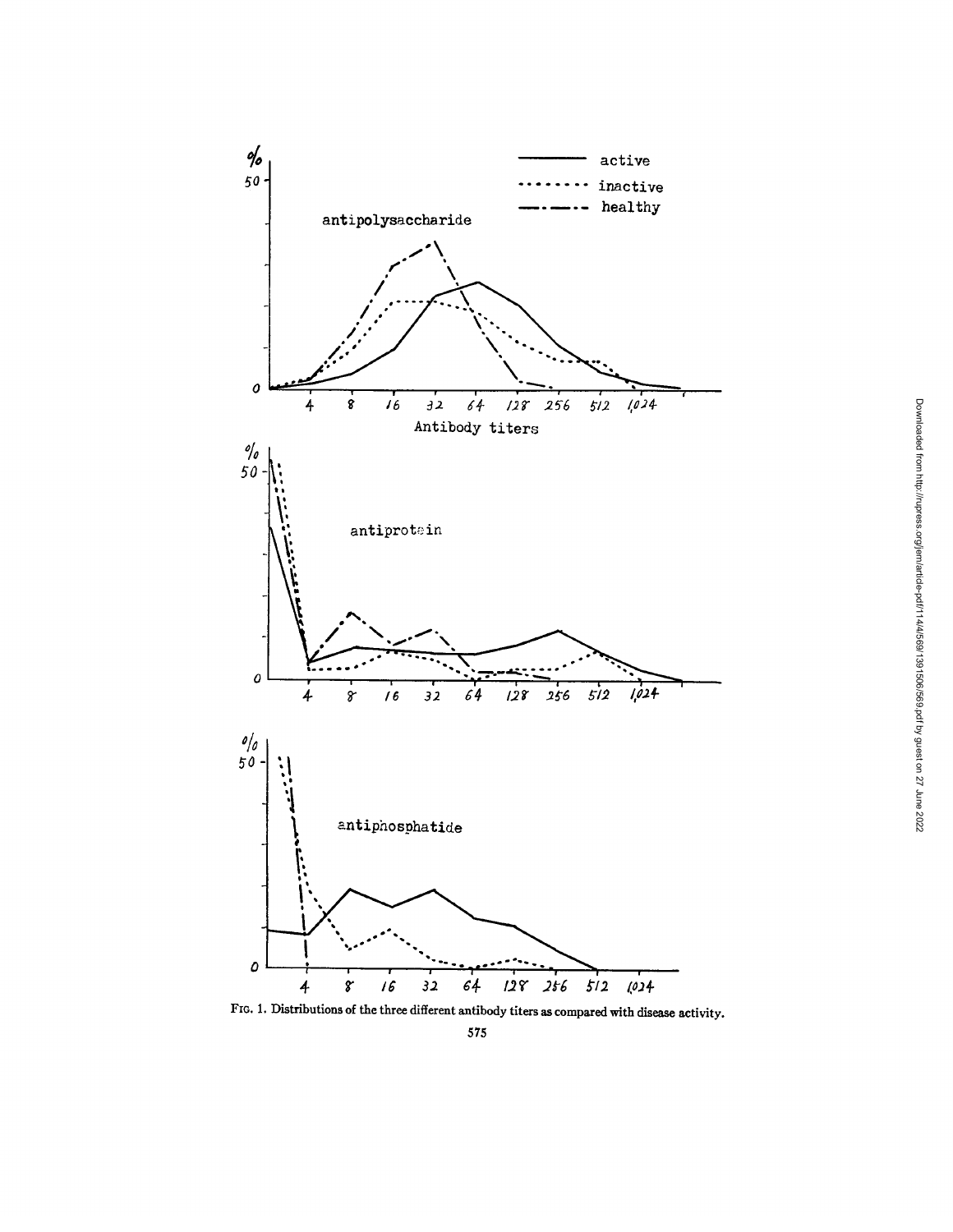

FIG. 1. Distributions of the three different antibody titers as compared with disease activity.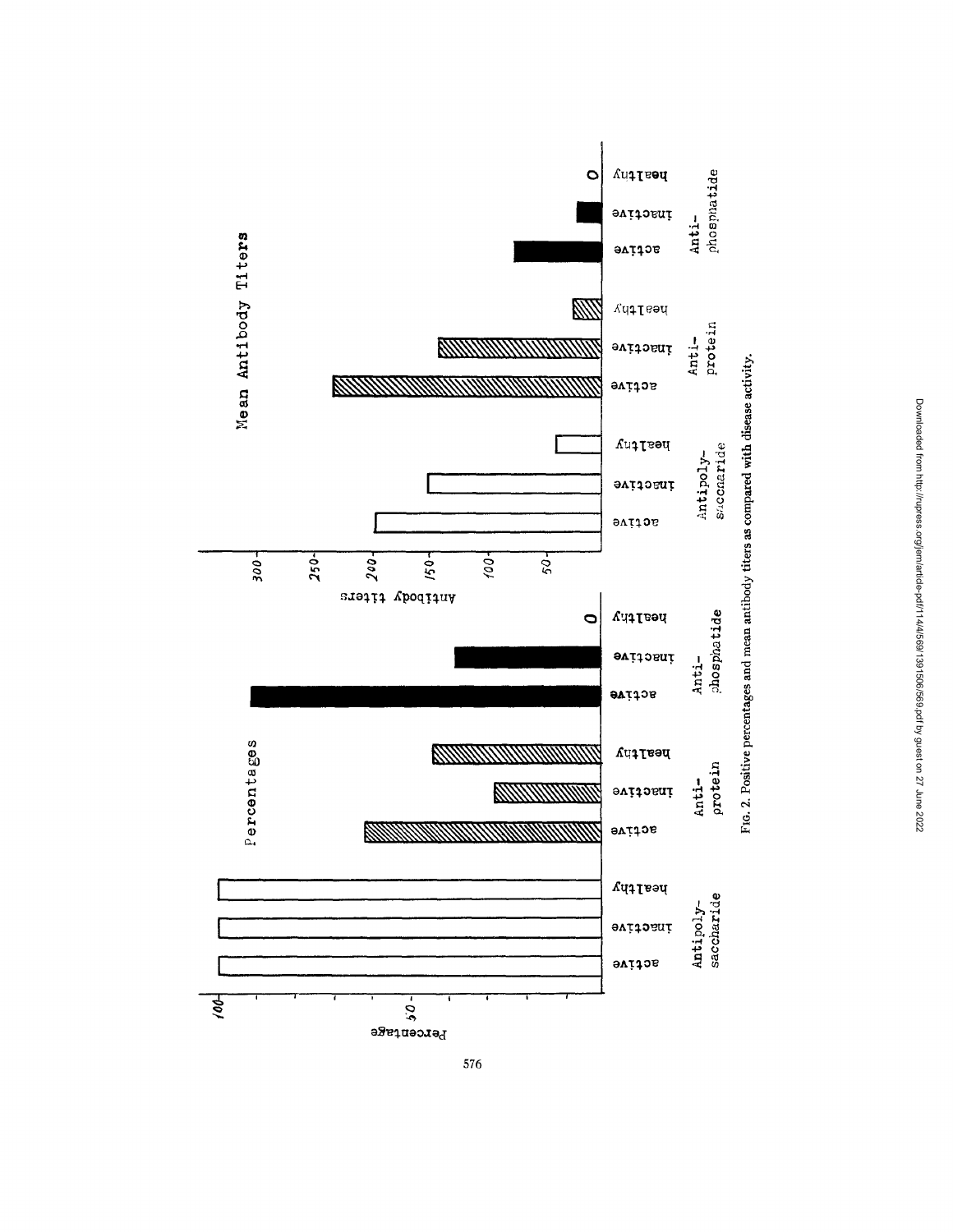



576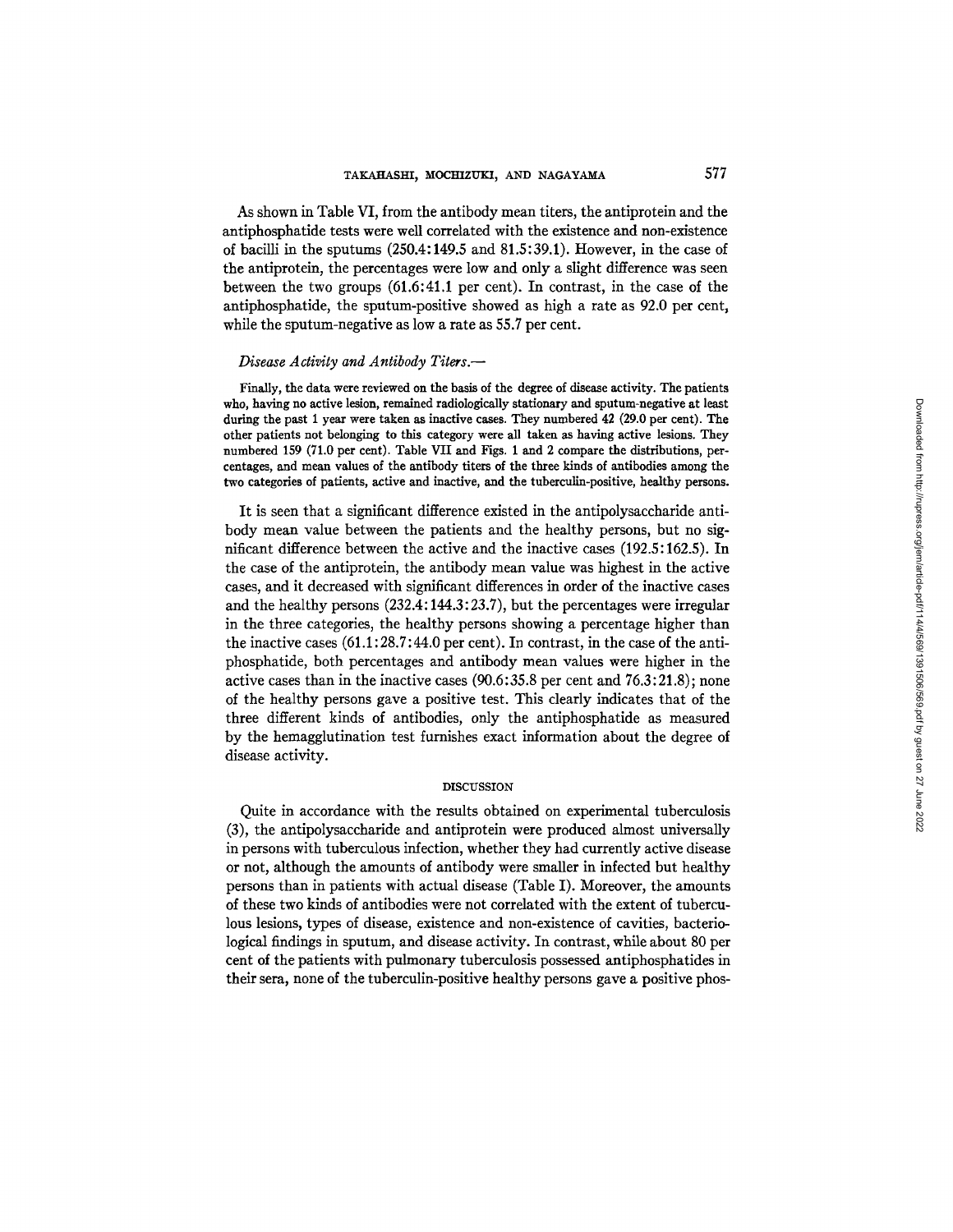As shown in Table VI, from the antibody mean titers, the antiprotein and the antiphosphatide tests were well correlated with the existence and non-existence of bacilli in the sputums (250.4:149.5 and 81.5:39.1). However, in the case of the antiprotein, the percentages were low and only a slight difference was seen between the two groups (61.6:41.1 per cent). In contrast, in the case of the antiphosphatide, the sputum-positive showed as high a rate as 92.0 per cent, while the sputum-negative as low a rate as 55.7 per cent.

#### *Disease Activity and Antibody Titers.--*

Finally, the data were reviewed **on the** basis of **the degree** of disease activity. The patients who, having no active lesion, remained radiologically stationary and sputum-negative at least during **the past** 1 year were taken as inactive eases. They numbered 42 (29.0 per cent). The **other patients** not belonging to this category were all **taken as having active** lesions. They numbered 159 (71.0 per cent). Table VII and Figs. 1 and 2 compare the distributions, percentages, and mean values of the antibody titers of the three kinds **of antibodies** among the **two categories** of patients, active and inactive, and the tuberculin-positive, healthy persons.

It is seen that a significant difference existed in the antipolysaccharide antibody mean value between the patients and the healthy persons, but no significant difference between the active and the inactive cases (192.5:162.5). In the case of the antiprotein, the antibody mean value was highest in the active cases, and it decreased with significant differences in order of the inactive cases and the healthy persons (232.4:144.3:23.7), but the percentages were irregular in the three categories, the healthy persons showing a percentage higher than the inactive cases (61.1:28.7:44.0 per cent). In contrast, in the case of the antiphosphatide, both percentages and antibody mean values were higher in the active cases than in the inactive cases  $(90.6:35.8$  per cent and  $76.3:21.8)$ ; none of the healthy persons gave a positive test. This clearly indicates that of the three different kinds of antibodies, only the antiphosphatide as measured by the hemagglutination test furnishes exact information about the degree of disease activity.

# DISCUSSION

Quite in accordance with the results obtained on experimental tuberculosis (3), the antipolysaccharide and antiprotein were produced almost universally in persons with tuberculous infection, whether they had currently active disease or not, although the amounts of antibody were smaller in infected but healthy persons than in patients with actual disease (Table I). Moreover, the amounts of these two kinds of antibodies were not correlated with the extent of tuberculous lesions, types of disease, existence and non-existence of cavities, bacteriological findings in sputum, and disease activity. In contrast, while about 80 per cent of the patients with pulmonary tuberculosis possessed antiphosphatides in their sera, none of the tuberculin-positive healthy persons gave a positive phos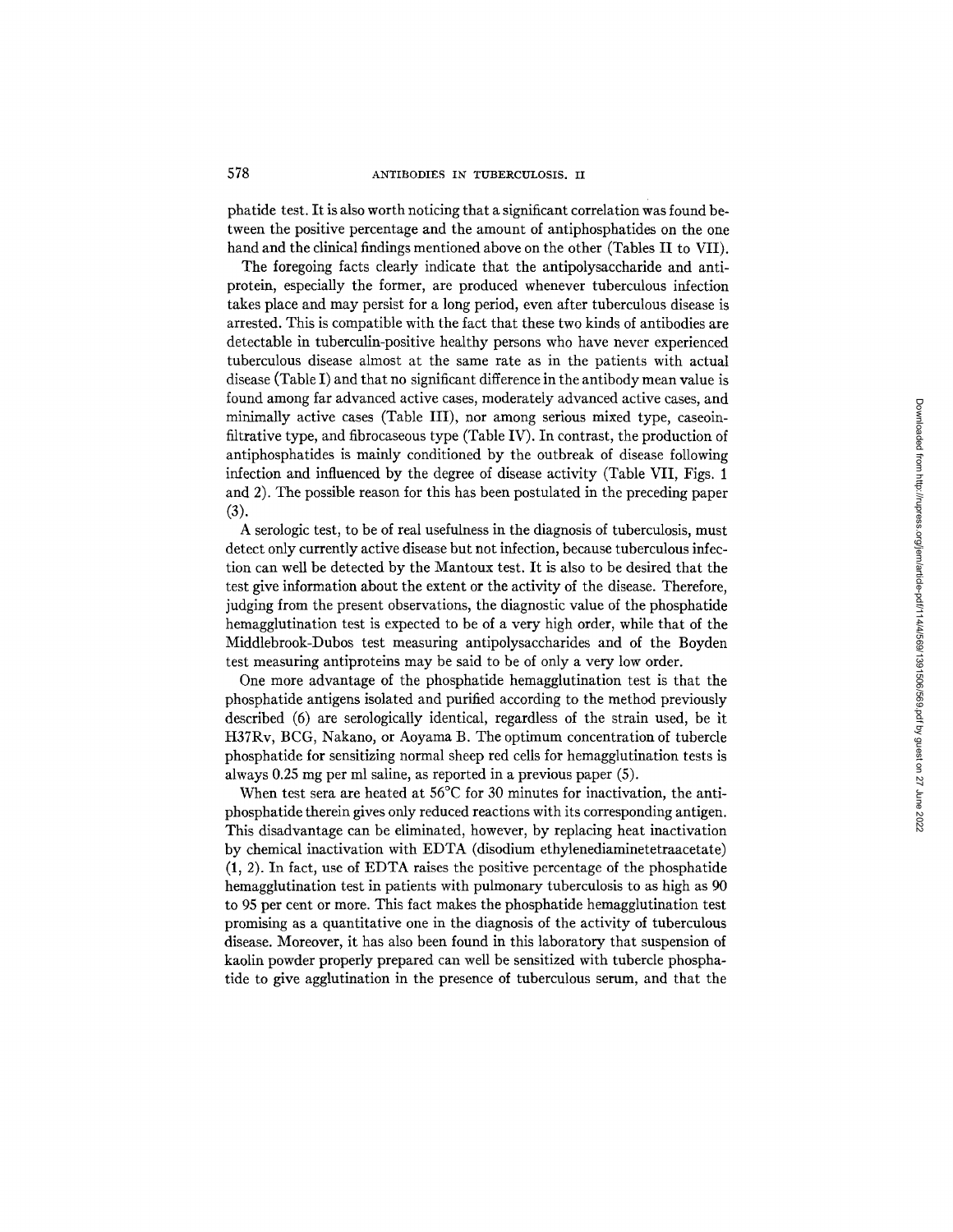phatide test. It is also worth noticing that a significant correlation was found between the positive percentage and the amount of antiphosphatides on the one hand and the clinical findings mentioned above on the other (Tables II to VII).

The foregoing facts clearly indicate that the antipolysaccharide and antiprotein, especially the former, are produced whenever tuberculous infection takes place and may persist for a long period, even after tuberculous disease is arrested. This is compatible with the fact that these two kinds of antibodies are detectable in tuberculin-positive healthy persons who have never experienced tuberculous disease almost at the same rate as in the patients with actual disease (Table I) and that no significant difference in the antibody mean value is found among far advanced active cases, moderately advanced active cases, and minimally active cases (Table III), nor among serious mixed type, caseoinfiltrative type, and fibrocaseous type (Table IV). In contrast, the production of antiphosphatides is mainly conditioned by the outbreak of disease following infection and influenced by the degree of disease activity (Table VII, Figs. 1 and 2). The possible reason for this has been postulated in the preceding paper (3).

A serologic test, to be of real usefulness in the diagnosis of tuberculosis, must detect only currently active disease but not infection, because tuberculous infection can well be detected by the Mantoux test. It is also to be desired that the test give information about the extent or the activity of the disease. Therefore, judging from the present observations, the diagnostic value of the phosphatide hemagglutination test is expected to be of a very high order, while that of the Middlebrook-Dubos test measuring antipolysaccharides and of the Boyden test measuring antiproteins may be said to be of only a very low order.

One more advantage of the phosphatide hemagglutination test is that the phosphatide antigens isolated and purified according to the method previously described (6) are serologically identical, regardless of the strain used, be it H37Rv, BCG, Nakano, or Aoyama B. The optimum concentration of tubercle phosphatide for sensitizing normal sheep red cells for hemagglutination tests is always 0.25 mg per ml saline, as reported in a previous paper (5).

When test sera are heated at 56<sup>o</sup>C for 30 minutes for inactivation, the antiphosphatide therein gives only reduced reactions with its corresponding antigen. This disadvantage can be eliminated, however, by replacing heat inactivation by chemical inactivation with EDTA (disodium ethylenediaminetetraacetate) (1, 2). In fact, use of EDTA raises the positive percentage of the phosphatide hemagglutination test in patients with pulmonary tuberculosis to as high as 90 to 95 per cent or more. This fact makes the phosphatide hemagglutination test promising as a quantitative one in the diagnosis of the activity of tuberculous disease. Moreover, it has also been found in this laboratory that suspension of kaolin powder properly prepared can well be sensitized with tubercle phosphatide to give agglutination in the presence of tuberculous serum, and that the